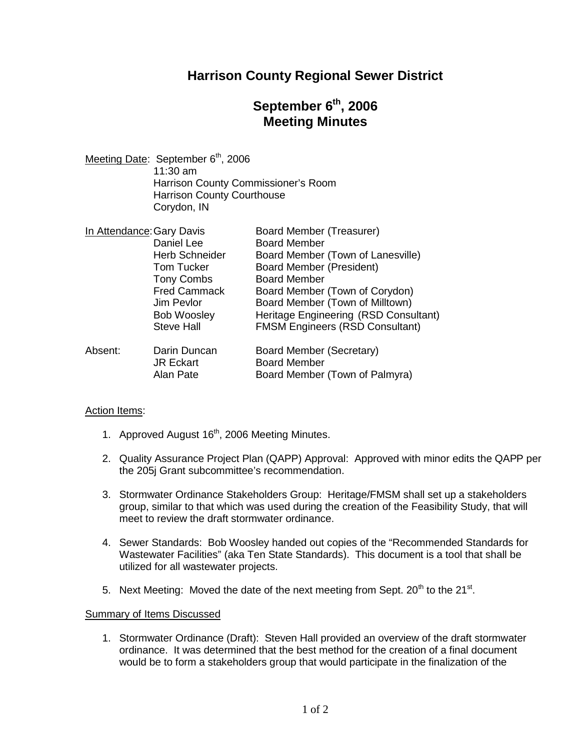## **Harrison County Regional Sewer District**

# **September 6th , 2006 Meeting Minutes**

Meeting Date: September 6<sup>th</sup>, 2006 11:30 am Harrison County Commissioner's Room Harrison County Courthouse Corydon, IN

| In Attendance: Gary Davis |                       | <b>Board Member (Treasurer)</b>        |
|---------------------------|-----------------------|----------------------------------------|
|                           | Daniel Lee            | <b>Board Member</b>                    |
|                           | <b>Herb Schneider</b> | Board Member (Town of Lanesville)      |
|                           | <b>Tom Tucker</b>     | <b>Board Member (President)</b>        |
|                           | <b>Tony Combs</b>     | <b>Board Member</b>                    |
|                           | <b>Fred Cammack</b>   | Board Member (Town of Corydon)         |
|                           | Jim Pevlor            | Board Member (Town of Milltown)        |
|                           | <b>Bob Woosley</b>    | Heritage Engineering (RSD Consultant)  |
|                           | <b>Steve Hall</b>     | <b>FMSM Engineers (RSD Consultant)</b> |
| Absent:                   | Darin Duncan          | Board Member (Secretary)               |
|                           | <b>JR Eckart</b>      | <b>Board Member</b>                    |
|                           | Alan Pate             | Board Member (Town of Palmyra)         |

#### Action Items:

- 1. Approved August 16<sup>th</sup>, 2006 Meeting Minutes.
- 2. Quality Assurance Project Plan (QAPP) Approval: Approved with minor edits the QAPP per the 205j Grant subcommittee's recommendation.
- 3. Stormwater Ordinance Stakeholders Group: Heritage/FMSM shall set up a stakeholders group, similar to that which was used during the creation of the Feasibility Study, that will meet to review the draft stormwater ordinance.
- 4. Sewer Standards: Bob Woosley handed out copies of the "Recommended Standards for Wastewater Facilities" (aka Ten State Standards). This document is a tool that shall be utilized for all wastewater projects.
- 5. Next Meeting: Moved the date of the next meeting from Sept. 20<sup>th</sup> to the 21<sup>st</sup>.

#### Summary of Items Discussed

1. Stormwater Ordinance (Draft): Steven Hall provided an overview of the draft stormwater ordinance. It was determined that the best method for the creation of a final document would be to form a stakeholders group that would participate in the finalization of the